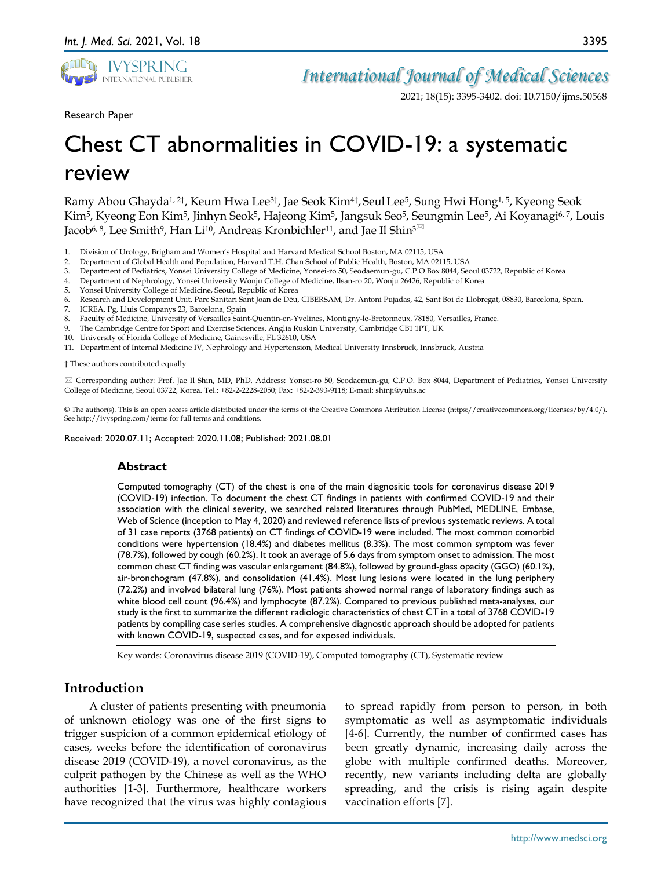

3395

Research Paper

# Chest CT abnormalities in COVID-19: a systematic review

Ramy Abou Ghayda1, 2†, Keum Hwa Lee3†, Jae Seok Kim4†, Seul Lee5, Sung Hwi Hong1, 5, Kyeong Seok Kim<sup>5</sup>, Kyeong Eon Kim<sup>5</sup>, Jinhyn Seok<sup>5</sup>, Hajeong Kim<sup>5</sup>, Jangsuk Seo<sup>5</sup>, Seungmin Lee<sup>5</sup>, Ai Koyanagi<sup>6, 7</sup>, Louis Jacob<sup>6, 8</sup>, Lee Smith<sup>9</sup>, Han Li<sup>10</sup>, Andreas Kronbichler<sup>11</sup>, and Jae Il Shin<sup>3⊠</sup>

- 1. Division of Urology, Brigham and Women's Hospital and Harvard Medical School Boston, MA 02115, USA
- 2. Department of Global Health and Population, Harvard T.H. Chan School of Public Health, Boston, MA 02115, USA
- 3. Department of Pediatrics, Yonsei University College of Medicine, Yonsei-ro 50, Seodaemun-gu, C.P.O Box 8044, Seoul 03722, Republic of Korea
- 4. Department of Nephrology, Yonsei University Wonju College of Medicine, Ilsan-ro 20, Wonju 26426, Republic of Korea
- 5. Yonsei University College of Medicine, Seoul, Republic of Korea
- 6. Research and Development Unit, Parc Sanitari Sant Joan de Déu, CIBERSAM, Dr. Antoni Pujadas, 42, Sant Boi de Llobregat, 08830, Barcelona, Spain.
- 7. ICREA, Pg, Lluis Companys 23, Barcelona, Spain
- 8. Faculty of Medicine, University of Versailles Saint-Quentin-en-Yvelines, Montigny-le-Bretonneux, 78180, Versailles, France.
- 9. The Cambridge Centre for Sport and Exercise Sciences, Anglia Ruskin University, Cambridge CB1 1PT, UK
- 10. University of Florida College of Medicine, Gainesville, FL 32610, USA
- 11. Department of Internal Medicine IV, Nephrology and Hypertension, Medical University Innsbruck, Innsbruck, Austria

† These authors contributed equally

 Corresponding author: Prof. Jae Il Shin, MD, PhD. Address: Yonsei-ro 50, Seodaemun-gu, C.P.O. Box 8044, Department of Pediatrics, Yonsei University College of Medicine, Seoul 03722, Korea. Tel.: +82-2-2228-2050; Fax: +82-2-393-9118; E-mail: shinji@yuhs.ac

© The author(s). This is an open access article distributed under the terms of the Creative Commons Attribution License (https://creativecommons.org/licenses/by/4.0/). See http://ivyspring.com/terms for full terms and conditions.

Received: 2020.07.11; Accepted: 2020.11.08; Published: 2021.08.01

#### **Abstract**

Computed tomography (CT) of the chest is one of the main diagnositic tools for coronavirus disease 2019 (COVID-19) infection. To document the chest CT findings in patients with confirmed COVID-19 and their association with the clinical severity, we searched related literatures through PubMed, MEDLINE, Embase, Web of Science (inception to May 4, 2020) and reviewed reference lists of previous systematic reviews. A total of 31 case reports (3768 patients) on CT findings of COVID-19 were included. The most common comorbid conditions were hypertension (18.4%) and diabetes mellitus (8.3%). The most common symptom was fever (78.7%), followed by cough (60.2%). It took an average of 5.6 days from symptom onset to admission. The most common chest CT finding was vascular enlargement (84.8%), followed by ground-glass opacity (GGO) (60.1%), air-bronchogram (47.8%), and consolidation (41.4%). Most lung lesions were located in the lung periphery (72.2%) and involved bilateral lung (76%). Most patients showed normal range of laboratory findings such as white blood cell count (96.4%) and lymphocyte (87.2%). Compared to previous published meta-analyses, our study is the first to summarize the different radiologic characteristics of chest CT in a total of 3768 COVID-19 patients by compiling case series studies. A comprehensive diagnostic approach should be adopted for patients with known COVID-19, suspected cases, and for exposed individuals.

Key words: Coronavirus disease 2019 (COVID-19), Computed tomography (CT), Systematic review

# **Introduction**

A cluster of patients presenting with pneumonia of unknown etiology was one of the first signs to trigger suspicion of a common epidemical etiology of cases, weeks before the identification of coronavirus disease 2019 (COVID-19), a novel coronavirus, as the culprit pathogen by the Chinese as well as the WHO authorities [1-3]. Furthermore, healthcare workers have recognized that the virus was highly contagious

to spread rapidly from person to person, in both symptomatic as well as asymptomatic individuals [4-6]. Currently, the number of confirmed cases has been greatly dynamic, increasing daily across the globe with multiple confirmed deaths. Moreover, recently, new variants including delta are globally spreading, and the crisis is rising again despite vaccination efforts [7].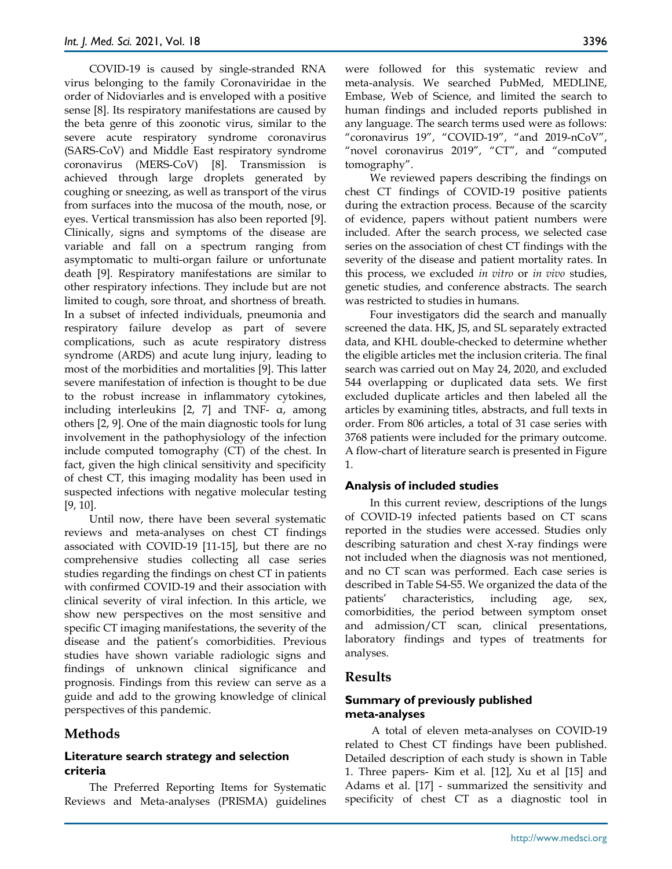COVID-19 is caused by single-stranded RNA virus belonging to the family Coronaviridae in the order of Nidoviarles and is enveloped with a positive sense [8]. Its respiratory manifestations are caused by the beta genre of this zoonotic virus, similar to the severe acute respiratory syndrome coronavirus (SARS-CoV) and Middle East respiratory syndrome coronavirus (MERS-CoV) [8]. Transmission is achieved through large droplets generated by coughing or sneezing, as well as transport of the virus from surfaces into the mucosa of the mouth, nose, or eyes. Vertical transmission has also been reported [9]. Clinically, signs and symptoms of the disease are variable and fall on a spectrum ranging from asymptomatic to multi-organ failure or unfortunate death [9]. Respiratory manifestations are similar to other respiratory infections. They include but are not limited to cough, sore throat, and shortness of breath. In a subset of infected individuals, pneumonia and respiratory failure develop as part of severe complications, such as acute respiratory distress syndrome (ARDS) and acute lung injury, leading to most of the morbidities and mortalities [9]. This latter severe manifestation of infection is thought to be due to the robust increase in inflammatory cytokines, including interleukins [2, 7] and TNF- α, among others [2, 9]. One of the main diagnostic tools for lung involvement in the pathophysiology of the infection include computed tomography (CT) of the chest. In fact, given the high clinical sensitivity and specificity of chest CT, this imaging modality has been used in suspected infections with negative molecular testing [9, 10].

Until now, there have been several systematic reviews and meta-analyses on chest CT findings associated with COVID-19 [11-15], but there are no comprehensive studies collecting all case series studies regarding the findings on chest CT in patients with confirmed COVID-19 and their association with clinical severity of viral infection. In this article, we show new perspectives on the most sensitive and specific CT imaging manifestations, the severity of the disease and the patient's comorbidities. Previous studies have shown variable radiologic signs and findings of unknown clinical significance and prognosis. Findings from this review can serve as a guide and add to the growing knowledge of clinical perspectives of this pandemic.

## **Methods**

#### **Literature search strategy and selection criteria**

The Preferred Reporting Items for Systematic Reviews and Meta-analyses (PRISMA) guidelines were followed for this systematic review and meta-analysis. We searched PubMed, MEDLINE, Embase, Web of Science, and limited the search to human findings and included reports published in any language. The search terms used were as follows: "coronavirus 19", "COVID-19", "and 2019-nCoV", "novel coronavirus 2019", "CT", and "computed tomography".

We reviewed papers describing the findings on chest CT findings of COVID-19 positive patients during the extraction process. Because of the scarcity of evidence, papers without patient numbers were included. After the search process, we selected case series on the association of chest CT findings with the severity of the disease and patient mortality rates. In this process, we excluded *in vitro* or *in vivo* studies, genetic studies, and conference abstracts. The search was restricted to studies in humans.

Four investigators did the search and manually screened the data. HK, JS, and SL separately extracted data, and KHL double-checked to determine whether the eligible articles met the inclusion criteria. The final search was carried out on May 24, 2020, and excluded 544 overlapping or duplicated data sets. We first excluded duplicate articles and then labeled all the articles by examining titles, abstracts, and full texts in order. From 806 articles, a total of 31 case series with 3768 patients were included for the primary outcome. A flow-chart of literature search is presented in Figure 1.

#### **Analysis of included studies**

In this current review, descriptions of the lungs of COVID-19 infected patients based on CT scans reported in the studies were accessed. Studies only describing saturation and chest X-ray findings were not included when the diagnosis was not mentioned, and no CT scan was performed. Each case series is described in Table S4-S5. We organized the data of the patients' characteristics, including age, sex, comorbidities, the period between symptom onset and admission/CT scan, clinical presentations, laboratory findings and types of treatments for analyses.

## **Results**

## **Summary of previously published meta-analyses**

A total of eleven meta-analyses on COVID-19 related to Chest CT findings have been published. Detailed description of each study is shown in Table 1. Three papers- Kim et al. [12], Xu et al [15] and Adams et al. [17] - summarized the sensitivity and specificity of chest CT as a diagnostic tool in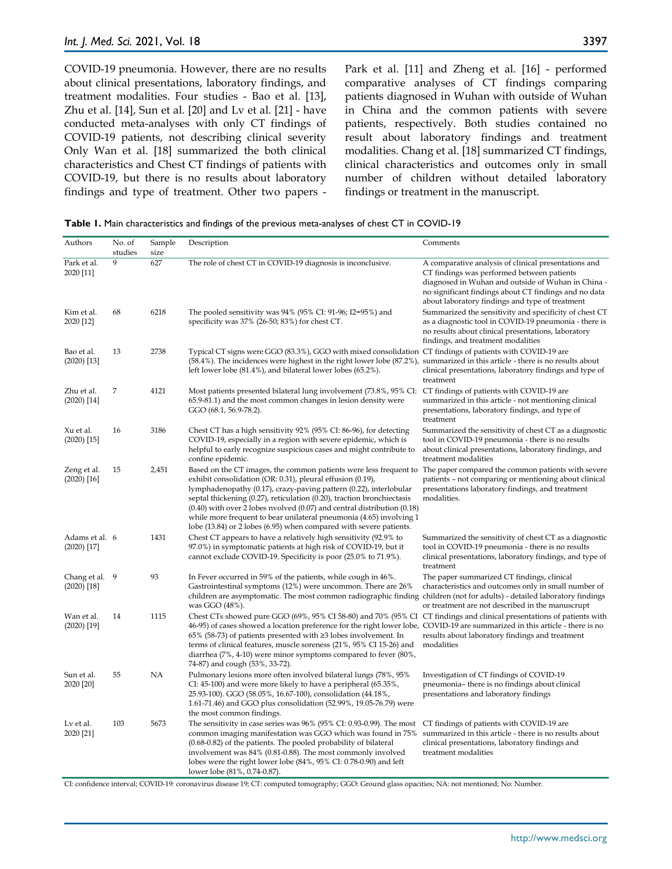COVID-19 pneumonia. However, there are no results about clinical presentations, laboratory findings, and treatment modalities. Four studies - Bao et al. [13], Zhu et al. [14], Sun et al. [20] and Lv et al. [21] - have conducted meta-analyses with only CT findings of COVID-19 patients, not describing clinical severity Only Wan et al. [18] summarized the both clinical characteristics and Chest CT findings of patients with COVID-19, but there is no results about laboratory findings and type of treatment. Other two papers - Park et al. [11] and Zheng et al. [16] - performed comparative analyses of CT findings comparing patients diagnosed in Wuhan with outside of Wuhan in China and the common patients with severe patients, respectively. Both studies contained no result about laboratory findings and treatment modalities. Chang et al. [18] summarized CT findings, clinical characteristics and outcomes only in small number of children without detailed laboratory findings or treatment in the manuscript.

| Authors                         | No. of<br>studies | Sample<br>size | Description                                                                                                                                                                                                                                                                                                                                                                                                                                                                                                                                                     | Comments                                                                                                                                                                                                                                                             |
|---------------------------------|-------------------|----------------|-----------------------------------------------------------------------------------------------------------------------------------------------------------------------------------------------------------------------------------------------------------------------------------------------------------------------------------------------------------------------------------------------------------------------------------------------------------------------------------------------------------------------------------------------------------------|----------------------------------------------------------------------------------------------------------------------------------------------------------------------------------------------------------------------------------------------------------------------|
| Park et al.<br>2020 [11]        | 9                 | 627            | The role of chest CT in COVID-19 diagnosis is inconclusive.                                                                                                                                                                                                                                                                                                                                                                                                                                                                                                     | A comparative analysis of clinical presentations and<br>CT findings was performed between patients<br>diagnosed in Wuhan and outside of Wuhan in China -<br>no significant findings about CT findings and no data<br>about laboratory findings and type of treatment |
| Kim et al.<br>2020 [12]         | 68                | 6218           | The pooled sensitivity was $94\%$ (95% CI: 91-96; I2=95%) and<br>specificity was $37\%$ (26-50; $83\%$ ) for chest CT.                                                                                                                                                                                                                                                                                                                                                                                                                                          | Summarized the sensitivity and specificity of chest CT<br>as a diagnostic tool in COVID-19 pneumonia - there is<br>no results about clinical presentations, laboratory<br>findings, and treatment modalities                                                         |
| Bao et al.<br>$(2020)$ [13]     | 13                | 2738           | Typical CT signs were GGO (83.3%), GGO with mixed consolidation CT findings of patients with COVID-19 are<br>(58.4%). The incidences were highest in the right lower lobe (87.2%), summarized in this article - there is no results about<br>left lower lobe (81.4%), and bilateral lower lobes (65.2%).                                                                                                                                                                                                                                                        | clinical presentations, laboratory findings and type of<br>treatment                                                                                                                                                                                                 |
| Zhu et al.<br>$(2020)$ [14]     | 7                 | 4121           | Most patients presented bilateral lung involvement (73.8%, 95% CI: CT findings of patients with COVID-19 are<br>65.9-81.1) and the most common changes in lesion density were<br>GGO (68.1, 56.9-78.2).                                                                                                                                                                                                                                                                                                                                                         | summarized in this article - not mentioning clinical<br>presentations, laboratory findings, and type of<br>treatment                                                                                                                                                 |
| Xu et al.<br>$(2020)$ [15]      | 16                | 3186           | Chest CT has a high sensitivity 92% (95% CI: 86-96), for detecting<br>COVID-19, especially in a region with severe epidemic, which is<br>helpful to early recognize suspicious cases and might contribute to<br>confine epidemic.                                                                                                                                                                                                                                                                                                                               | Summarized the sensitivity of chest CT as a diagnostic<br>tool in COVID-19 pneumonia - there is no results<br>about clinical presentations, laboratory findings, and<br>treatment modalities                                                                         |
| Zeng et al.<br>$(2020)$ [16]    | 15                | 2,451          | Based on the CT images, the common patients were less frequent to The paper compared the common patients with severe<br>exhibit consolidation (OR: 0.31), pleural effusion (0.19),<br>lymphadenopathy (0.17), crazy-paving pattern (0.22), interlobular<br>septal thickening (0.27), reticulation (0.20), traction bronchiectasis<br>$(0.40)$ with over 2 lobes nvolved $(0.07)$ and central distribution $(0.18)$<br>while more frequent to bear unilateral pneumonia (4.65) involving 1<br>lobe (13.84) or 2 lobes (6.95) when compared with severe patients. | patients - not comparing or mentioning about clinical<br>presentations laboratory findings, and treatment<br>modalities.                                                                                                                                             |
| Adams et al. 6<br>$(2020)$ [17] |                   | 1431           | Chest CT appears to have a relatively high sensitivity (92.9% to<br>97.0%) in symptomatic patients at high risk of COVID-19, but it<br>cannot exclude COVID-19. Specificity is poor (25.0% to 71.9%).                                                                                                                                                                                                                                                                                                                                                           | Summarized the sensitivity of chest CT as a diagnostic<br>tool in COVID-19 pneumonia - there is no results<br>clinical presentations, laboratory findings, and type of<br>treatment                                                                                  |
| Chang et al. 9<br>$(2020)$ [18] |                   | 93             | In Fever occurred in 59% of the patients, while cough in 46%.<br>Gastrointestinal symptoms (12%) were uncommon. There are 26%<br>children are asymptomatic. The most common radiographic finding children (not for adults) - detailed laboratory findings<br>was GGO (48%).                                                                                                                                                                                                                                                                                     | The paper summarized CT findings, clinical<br>characteristics and outcomes only in small number of<br>or treatment are not described in the manuscrupt                                                                                                               |
| Wan et al.<br>$(2020)$ [19]     | 14                | 1115           | Chest CTs showed pure GGO (69%, 95% CI 58-80) and 70% (95% CI CT findings and clinical presentations of patients with<br>46-95) of cases showed a location preference for the right lower lobe, COVID-19 are summarized in this article - there is no<br>65% (58-73) of patients presented with $\geq$ 3 lobes involvement. In<br>terms of clinical features, muscle soreness (21%, 95% CI 15-26) and<br>diarrhea (7%, 4-10) were minor symptoms compared to fever (80%,<br>74-87) and cough (53%, 33-72).                                                      | results about laboratory findings and treatment<br>modalities                                                                                                                                                                                                        |
| Sun et al.<br>2020 [20]         | 55                | NA             | Pulmonary lesions more often involved bilateral lungs (78%, 95%)<br>CI: 45-100) and were more likely to have a peripheral (65.35%,<br>25.93-100). GGO (58.05%, 16.67-100), consolidation (44.18%,<br>1.61-71.46) and GGO plus consolidation (52.99%, 19.05-76.79) were<br>the most common findings.                                                                                                                                                                                                                                                             | Investigation of CT findings of COVID-19<br>pneumonia- there is no findings about clinical<br>presentations and laboratory findings                                                                                                                                  |
| Lv et al.<br>2020 [21]          | 103               | 5673           | The sensitivity in case series was 96% (95% CI: 0.93-0.99). The most<br>common imaging manifestation was GGO which was found in 75%<br>$(0.68-0.82)$ of the patients. The pooled probability of bilateral<br>involvement was 84% (0.81-0.88). The most commonly involved<br>lobes were the right lower lobe (84%, 95% CI: 0.78-0.90) and left<br>lower lobe (81%, 0.74-0.87).                                                                                                                                                                                   | CT findings of patients with COVID-19 are<br>summarized in this article - there is no results about<br>clinical presentations, laboratory findings and<br>treatment modalities                                                                                       |

CI: confidence interval; COVID-19: coronavirus disease 19; CT: computed tomography; GGO: Ground glass opacities; NA: not mentioned; No: Number.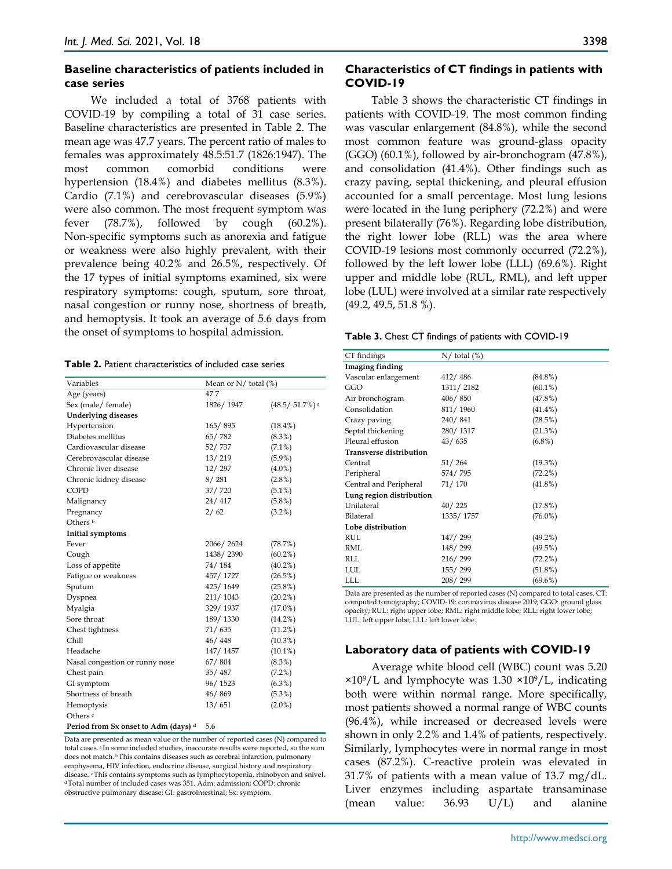#### **Baseline characteristics of patients included in case series**

We included a total of 3768 patients with COVID-19 by compiling a total of 31 case series. Baseline characteristics are presented in Table 2. The mean age was 47.7 years. The percent ratio of males to females was approximately 48.5:51.7 (1826:1947). The most common comorbid conditions were hypertension (18.4%) and diabetes mellitus (8.3%). Cardio (7.1%) and cerebrovascular diseases (5.9%) were also common. The most frequent symptom was fever  $(78.7\%)$ , followed by cough  $(60.2\%)$ . Non-specific symptoms such as anorexia and fatigue or weakness were also highly prevalent, with their prevalence being 40.2% and 26.5%, respectively. Of the 17 types of initial symptoms examined, six were respiratory symptoms: cough, sputum, sore throat, nasal congestion or runny nose, shortness of breath, and hemoptysis. It took an average of 5.6 days from the onset of symptoms to hospital admission.

| <b>Table 2.</b> Patient characteristics of included case series |
|-----------------------------------------------------------------|
|-----------------------------------------------------------------|

| Variables                      | Mean or $N/$ total $(\%)$ |                             |
|--------------------------------|---------------------------|-----------------------------|
| Age (years)                    | 47.7                      |                             |
| Sex (male/ female)             | 1826/1947                 | $(48.5/51.7%)$ <sup>a</sup> |
| <b>Underlying diseases</b>     |                           |                             |
| Hypertension                   | 165/895                   | $(18.4\%)$                  |
| Diabetes mellitus              | 65/782                    | $(8.3\%)$                   |
| Cardiovascular disease         | 52/737                    | $(7.1\%)$                   |
| Cerebrovascular disease        | 13/219                    | $(5.9\%)$                   |
| Chronic liver disease          | 12/297                    | $(4.0\%)$                   |
| Chronic kidney disease         | 8/281                     | $(2.8\%)$                   |
| COPD                           | 37/720                    | $(5.1\%)$                   |
| Malignancy                     | 24/417                    | $(5.8\%)$                   |
| Pregnancy                      | 2/62                      | $(3.2\%)$                   |
| Others b                       |                           |                             |
| Initial symptoms               |                           |                             |
| Fever                          | 2066/2624                 | (78.7%)                     |
| Cough                          | 1438/2390                 | $(60.2\%)$                  |
| Loss of appetite               | 74/184                    | $(40.2\%)$                  |
| Fatigue or weakness            | 457/1727                  | $(26.5\%)$                  |
| Sputum                         | 425/1649                  | $(25.8\%)$                  |
| Dyspnea                        | 211/1043                  | $(20.2\%)$                  |
| Myalgia                        | 329/1937                  | $(17.0\%)$                  |
| Sore throat                    | 189/1330                  | $(14.2\%)$                  |
| Chest tightness                | 71/635                    | (11.2%)                     |
| Chill                          | 46/448                    | $(10.3\%)$                  |
| Headache                       | 147/1457                  | $(10.1\%)$                  |
| Nasal congestion or runny nose | 67/804                    | $(8.3\%)$                   |
| Chest pain                     | 35/487                    | $(7.2\%)$                   |
| GI symptom                     | 96/1523                   | $(6.3\%)$                   |
| Shortness of breath            | 46/869                    | $(5.3\%)$                   |
| Hemoptysis                     | 13/651                    | $(2.0\%)$                   |
| Others <sup>c</sup>            |                           |                             |
|                                |                           |                             |

**Period from Sx onset to Adm (days) d** 5.6

Data are presented as mean value or the number of reported cases (N) compared to total cases. a In some included studies, inaccurate results were reported, so the sum does not match. b This contains diseases such as cerebral infarction, pulmonary emphysema, HIV infection, endocrine disease, surgical history and respiratory disease. c This contains symptoms such as lymphocytopenia, rhinobyon and snivel. d Total number of included cases was 351. Adm: admission; COPD: chronic obstructive pulmonary disease; GI: gastrointestinal; Sx: symptom.

#### **Characteristics of CT findings in patients with COVID-19**

Table 3 shows the characteristic CT findings in patients with COVID-19. The most common finding was vascular enlargement (84.8%), while the second most common feature was ground-glass opacity (GGO) (60.1%), followed by air-bronchogram (47.8%), and consolidation (41.4%). Other findings such as crazy paving, septal thickening, and pleural effusion accounted for a small percentage. Most lung lesions were located in the lung periphery (72.2%) and were present bilaterally (76%). Regarding lobe distribution, the right lower lobe (RLL) was the area where COVID-19 lesions most commonly occurred (72.2%), followed by the left lower lobe (LLL) (69.6%). Right upper and middle lobe (RUL, RML), and left upper lobe (LUL) were involved at a similar rate respectively (49.2, 49.5, 51.8 %).

| Table 3. Chest CT findings of patients with COVID-19 |  |
|------------------------------------------------------|--|
|------------------------------------------------------|--|

| CT findings                    | $N/$ total $(\%)$ |            |  |
|--------------------------------|-------------------|------------|--|
| Imaging finding                |                   |            |  |
| Vascular enlargement           | 412/486           | $(84.8\%)$ |  |
| GGO                            | 1311/2182         | $(60.1\%)$ |  |
| Air bronchogram                | 406/850           | (47.8%)    |  |
| Consolidation                  | 811/1960          | $(41.4\%)$ |  |
| Crazy paving                   | 240/841           | (28.5%)    |  |
| Septal thickening              | 280/1317          | $(21.3\%)$ |  |
| Pleural effusion               | 43/635            | $(6.8\%)$  |  |
| <b>Transverse distribution</b> |                   |            |  |
| Central                        | 51/264            | (19.3%)    |  |
| Peripheral                     | 574/795           | (72.2%)    |  |
| Central and Peripheral         | 71/170            | $(41.8\%)$ |  |
| Lung region distribution       |                   |            |  |
| Unilateral                     | 40/225            | (17.8%)    |  |
| Bilateral                      | 1335/1757         | $(76.0\%)$ |  |
| Lobe distribution              |                   |            |  |
| RUL                            | 147/299           | $(49.2\%)$ |  |
| RML                            | 148/299           | (49.5%)    |  |
| RLL                            | 216/299           | $(72.2\%)$ |  |
| <b>LUL</b>                     | 155/299           | $(51.8\%)$ |  |
| LLL                            | 208/299           | $(69.6\%)$ |  |

Data are presented as the number of reported cases (N) compared to total cases. CT: computed tomography; COVID-19: coronavirus disease 2019; GGO: ground glass opacity; RUL: right upper lobe; RML: right middle lobe; RLL: right lower lobe; LUL: left upper lobe; LLL: left lower lobe.

# **Laboratory data of patients with COVID-19**

Average white blood cell (WBC) count was 5.20  $\times 10^9/L$  and lymphocyte was 1.30  $\times 10^9/L$ , indicating both were within normal range. More specifically, most patients showed a normal range of WBC counts (96.4%), while increased or decreased levels were shown in only 2.2% and 1.4% of patients, respectively. Similarly, lymphocytes were in normal range in most cases (87.2%). C-reactive protein was elevated in 31.7% of patients with a mean value of 13.7 mg/dL. Liver enzymes including aspartate transaminase (mean value: 36.93 U/L) and alanine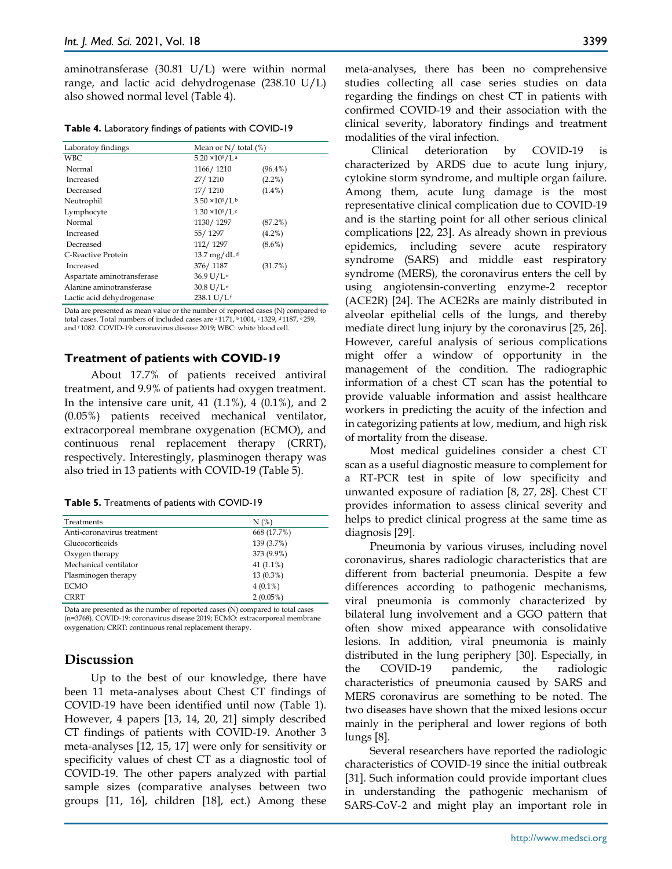aminotransferase (30.81 U/L) were within normal range, and lactic acid dehydrogenase (238.10 U/L) also showed normal level (Table 4).

**Table 4.** Laboratory findings of patients with COVID-19

| Laboratoy findings         | Mean or $N/$ total $(\%)$          |            |
|----------------------------|------------------------------------|------------|
| WBC                        | $5.20 \times 10^9$ /L <sup>a</sup> |            |
| Normal                     | 1166/1210                          | $(96.4\%)$ |
| Increased                  | 27/1210                            | $(2.2\%)$  |
| Decreased                  | 17/1210                            | $(1.4\%)$  |
| Neutrophil                 | $3.50 \times 10^9/L^b$             |            |
| Lymphocyte                 | $1.30 \times 10^9 / L$ c           |            |
| Normal                     | 1130/1297                          | (87.2%)    |
| Increased                  | 55/1297                            | $(4.2\%)$  |
| Decreased                  | 112/1297                           | $(8.6\%)$  |
| C-Reactive Protein         | 13.7 mg/dL <sup>d</sup>            |            |
| Increased                  | 376/1187                           | (31.7%)    |
| Aspartate aminotransferase | 36.9 U/L <sup>e</sup>              |            |
| Alanine aminotransferase   | 30.8 U/L <sup>e</sup>              |            |
| Lactic acid dehydrogenase  | 238.1 U/Lf                         |            |

Data are presented as mean value or the number of reported cases (N) compared to total cases. Total numbers of included cases are <sup>a</sup> 1171, <sup>b</sup> 1004, <sup>c</sup> 1329, <sup>d</sup> 1187, <sup>e</sup> 259, and f 1082. COVID-19: coronavirus disease 2019; WBC: white blood cell.

#### **Treatment of patients with COVID-19**

About 17.7% of patients received antiviral treatment, and 9.9% of patients had oxygen treatment. In the intensive care unit, 41  $(1.1\%)$ , 4  $(0.1\%)$ , and 2 (0.05%) patients received mechanical ventilator, extracorporeal membrane oxygenation (ECMO), and continuous renal replacement therapy (CRRT), respectively. Interestingly, plasminogen therapy was also tried in 13 patients with COVID-19 (Table 5).

|  |  | Table 5. Treatments of patients with COVID-19 |  |
|--|--|-----------------------------------------------|--|
|--|--|-----------------------------------------------|--|

| Treatments                 | N(%)         |
|----------------------------|--------------|
| Anti-coronavirus treatment | 668 (17.7%)  |
| Glucocorticoids            | 139 (3.7%)   |
| Oxygen therapy             | 373 (9.9%)   |
| Mechanical ventilator      | 41 $(1.1\%)$ |
| Plasminogen therapy        | 13 (0.3%)    |
| <b>ECMO</b>                | $4(0.1\%)$   |
| <b>CRRT</b>                | 2(0.05%)     |

Data are presented as the number of reported cases (N) compared to total cases (n=3768). COVID-19: coronavirus disease 2019; ECMO: extracorporeal membrane oxygenation; CRRT: continuous renal replacement therapy.

# **Discussion**

Up to the best of our knowledge, there have been 11 meta-analyses about Chest CT findings of COVID-19 have been identified until now (Table 1). However, 4 papers [13, 14, 20, 21] simply described CT findings of patients with COVID-19. Another 3 meta-analyses [12, 15, 17] were only for sensitivity or specificity values of chest CT as a diagnostic tool of COVID-19. The other papers analyzed with partial sample sizes (comparative analyses between two groups [11, 16], children [18], ect.) Among these

meta-analyses, there has been no comprehensive studies collecting all case series studies on data regarding the findings on chest CT in patients with confirmed COVID-19 and their association with the clinical severity, laboratory findings and treatment modalities of the viral infection.

Clinical deterioration by COVID-19 is characterized by ARDS due to acute lung injury, cytokine storm syndrome, and multiple organ failure. Among them, acute lung damage is the most representative clinical complication due to COVID-19 and is the starting point for all other serious clinical complications [22, 23]. As already shown in previous epidemics, including severe acute respiratory syndrome (SARS) and middle east respiratory syndrome (MERS), the coronavirus enters the cell by using angiotensin-converting enzyme-2 receptor (ACE2R) [24]. The ACE2Rs are mainly distributed in alveolar epithelial cells of the lungs, and thereby mediate direct lung injury by the coronavirus [25, 26]. However, careful analysis of serious complications might offer a window of opportunity in the management of the condition. The radiographic information of a chest CT scan has the potential to provide valuable information and assist healthcare workers in predicting the acuity of the infection and in categorizing patients at low, medium, and high risk of mortality from the disease.

Most medical guidelines consider a chest CT scan as a useful diagnostic measure to complement for a RT-PCR test in spite of low specificity and unwanted exposure of radiation [8, 27, 28]. Chest CT provides information to assess clinical severity and helps to predict clinical progress at the same time as diagnosis [29].

Pneumonia by various viruses, including novel coronavirus, shares radiologic characteristics that are different from bacterial pneumonia. Despite a few differences according to pathogenic mechanisms, viral pneumonia is commonly characterized by bilateral lung involvement and a GGO pattern that often show mixed appearance with consolidative lesions. In addition, viral pneumonia is mainly distributed in the lung periphery [30]. Especially, in the COVID-19 pandemic, the radiologic characteristics of pneumonia caused by SARS and MERS coronavirus are something to be noted. The two diseases have shown that the mixed lesions occur mainly in the peripheral and lower regions of both lungs [8].

Several researchers have reported the radiologic characteristics of COVID-19 since the initial outbreak [31]. Such information could provide important clues in understanding the pathogenic mechanism of SARS-CoV-2 and might play an important role in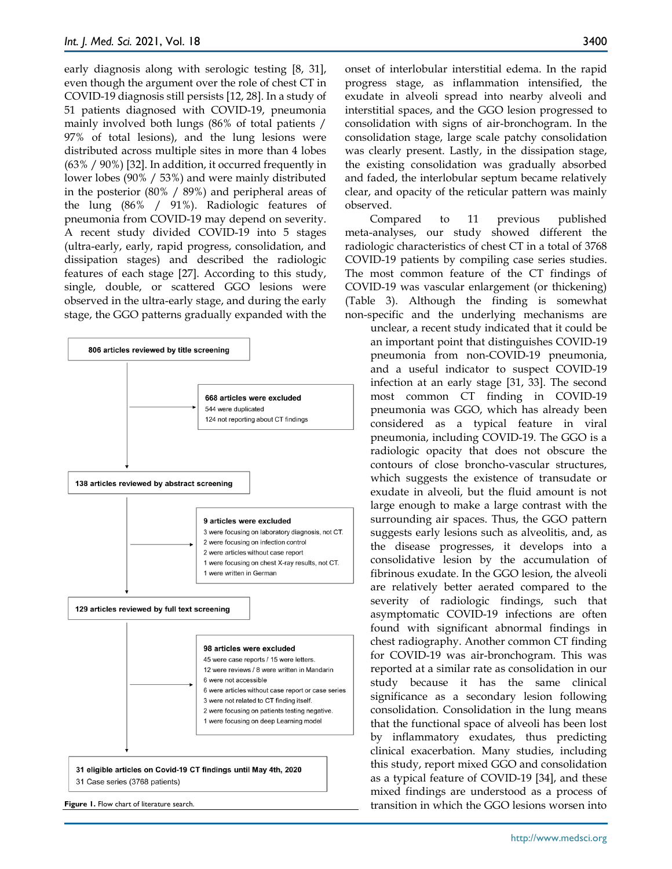early diagnosis along with serologic testing [8, 31], even though the argument over the role of chest CT in COVID-19 diagnosis still persists [12, 28]. In a study of 51 patients diagnosed with COVID-19, pneumonia mainly involved both lungs (86% of total patients / 97% of total lesions), and the lung lesions were distributed across multiple sites in more than 4 lobes (63% / 90%) [32]. In addition, it occurred frequently in lower lobes (90% / 53%) and were mainly distributed in the posterior (80% / 89%) and peripheral areas of the lung (86% / 91%). Radiologic features of pneumonia from COVID-19 may depend on severity. A recent study divided COVID-19 into 5 stages (ultra-early, early, rapid progress, consolidation, and dissipation stages) and described the radiologic features of each stage [27]. According to this study, single, double, or scattered GGO lesions were observed in the ultra-early stage, and during the early stage, the GGO patterns gradually expanded with the



onset of interlobular interstitial edema. In the rapid progress stage, as inflammation intensified, the exudate in alveoli spread into nearby alveoli and interstitial spaces, and the GGO lesion progressed to consolidation with signs of air-bronchogram. In the consolidation stage, large scale patchy consolidation was clearly present. Lastly, in the dissipation stage, the existing consolidation was gradually absorbed and faded, the interlobular septum became relatively clear, and opacity of the reticular pattern was mainly observed.

Compared to 11 previous published meta-analyses, our study showed different the radiologic characteristics of chest CT in a total of 3768 COVID-19 patients by compiling case series studies. The most common feature of the CT findings of COVID-19 was vascular enlargement (or thickening) (Table 3). Although the finding is somewhat non-specific and the underlying mechanisms are

unclear, a recent study indicated that it could be an important point that distinguishes COVID-19 pneumonia from non-COVID-19 pneumonia, and a useful indicator to suspect COVID-19 infection at an early stage [31, 33]. The second most common CT finding in COVID-19 pneumonia was GGO, which has already been considered as a typical feature in viral pneumonia, including COVID-19. The GGO is a radiologic opacity that does not obscure the contours of close broncho-vascular structures, which suggests the existence of transudate or exudate in alveoli, but the fluid amount is not large enough to make a large contrast with the surrounding air spaces. Thus, the GGO pattern suggests early lesions such as alveolitis, and, as the disease progresses, it develops into a consolidative lesion by the accumulation of fibrinous exudate. In the GGO lesion, the alveoli are relatively better aerated compared to the severity of radiologic findings, such that asymptomatic COVID-19 infections are often found with significant abnormal findings in chest radiography. Another common CT finding for COVID-19 was air-bronchogram. This was reported at a similar rate as consolidation in our study because it has the same clinical significance as a secondary lesion following consolidation. Consolidation in the lung means that the functional space of alveoli has been lost by inflammatory exudates, thus predicting clinical exacerbation. Many studies, including this study, report mixed GGO and consolidation as a typical feature of COVID-19 [34], and these mixed findings are understood as a process of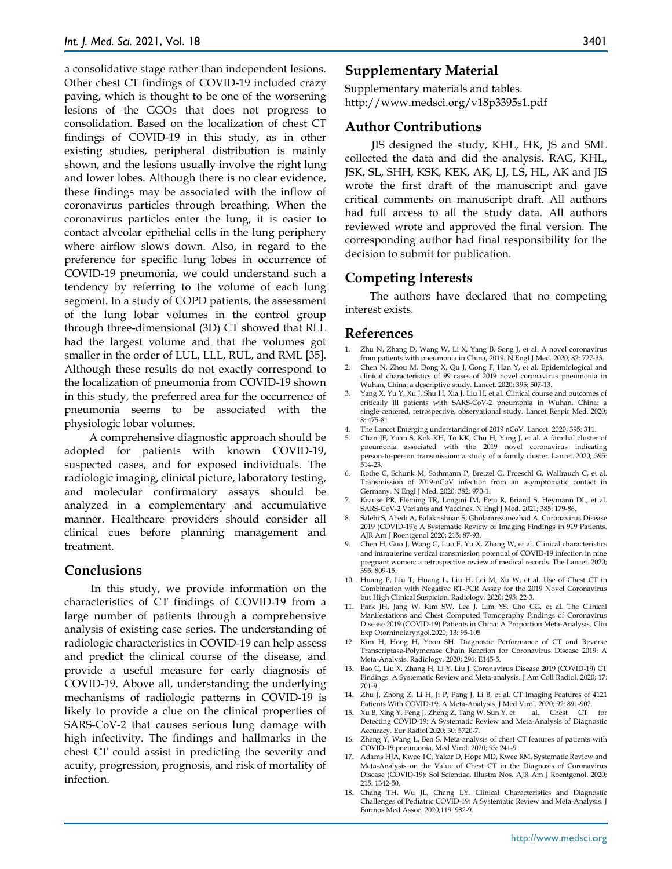a consolidative stage rather than independent lesions. Other chest CT findings of COVID-19 included crazy paving, which is thought to be one of the worsening lesions of the GGOs that does not progress to consolidation. Based on the localization of chest CT findings of COVID-19 in this study, as in other existing studies, peripheral distribution is mainly shown, and the lesions usually involve the right lung and lower lobes. Although there is no clear evidence, these findings may be associated with the inflow of coronavirus particles through breathing. When the coronavirus particles enter the lung, it is easier to contact alveolar epithelial cells in the lung periphery where airflow slows down. Also, in regard to the preference for specific lung lobes in occurrence of COVID-19 pneumonia, we could understand such a tendency by referring to the volume of each lung segment. In a study of COPD patients, the assessment of the lung lobar volumes in the control group through three-dimensional (3D) CT showed that RLL had the largest volume and that the volumes got smaller in the order of LUL, LLL, RUL, and RML [35]. Although these results do not exactly correspond to the localization of pneumonia from COVID-19 shown in this study, the preferred area for the occurrence of pneumonia seems to be associated with the physiologic lobar volumes.

A comprehensive diagnostic approach should be adopted for patients with known COVID-19, suspected cases, and for exposed individuals. The radiologic imaging, clinical picture, laboratory testing, and molecular confirmatory assays should be analyzed in a complementary and accumulative manner. Healthcare providers should consider all clinical cues before planning management and treatment.

## **Conclusions**

In this study, we provide information on the characteristics of CT findings of COVID-19 from a large number of patients through a comprehensive analysis of existing case series. The understanding of radiologic characteristics in COVID-19 can help assess and predict the clinical course of the disease, and provide a useful measure for early diagnosis of COVID-19. Above all, understanding the underlying mechanisms of radiologic patterns in COVID-19 is likely to provide a clue on the clinical properties of SARS-CoV-2 that causes serious lung damage with high infectivity. The findings and hallmarks in the chest CT could assist in predicting the severity and acuity, progression, prognosis, and risk of mortality of infection.

## **Supplementary Material**

Supplementary materials and tables. http://www.medsci.org/v18p3395s1.pdf

#### **Author Contributions**

JIS designed the study, KHL, HK, JS and SML collected the data and did the analysis. RAG, KHL, JSK, SL, SHH, KSK, KEK, AK, LJ, LS, HL, AK and JIS wrote the first draft of the manuscript and gave critical comments on manuscript draft. All authors had full access to all the study data. All authors reviewed wrote and approved the final version. The corresponding author had final responsibility for the decision to submit for publication.

## **Competing Interests**

The authors have declared that no competing interest exists.

## **References**

- 1. Zhu N, Zhang D, Wang W, Li X, Yang B, Song J, et al. A novel coronavirus from patients with pneumonia in China, 2019. N Engl J Med. 2020; 82: 727-33.
- 2. Chen N, Zhou M, Dong X, Qu J, Gong F, Han Y, et al. Epidemiological and clinical characteristics of 99 cases of 2019 novel coronavirus pneumonia in Wuhan, China: a descriptive study. Lancet. 2020; 395: 507-13.
- 3. Yang X, Yu Y, Xu J, Shu H, Xia J, Liu H, et al. Clinical course and outcomes of critically ill patients with SARS-CoV-2 pneumonia in Wuhan, China: a single-centered, retrospective, observational study. Lancet Respir Med. 2020; 8: 475-81.
- 4. The Lancet Emerging understandings of 2019 nCoV. Lancet. 2020; 395: 311.
- 5. Chan JF, Yuan S, Kok KH, To KK, Chu H, Yang J, et al. A familial cluster of pneumonia associated with the 2019 novel coronavirus indicating person-to-person transmission: a study of a family cluster. Lancet. 2020; 395: 514-23.
- 6. Rothe C, Schunk M, Sothmann P, Bretzel G, Froeschl G, Wallrauch C, et al. Transmission of 2019-nCoV infection from an asymptomatic contact in Germany. N Engl J Med. 2020; 382: 970-1.
- 7. Krause PR, Fleming TR, Longini IM, Peto R, Briand S, Heymann DL, et al. SARS-CoV-2 Variants and Vaccines. N Engl J Med. 2021; 385: 179-86.
- 8. Salehi S, Abedi A, Balakrishnan S, Gholamrezanezhad A. Coronavirus Disease 2019 (COVID-19): A Systematic Review of Imaging Findings in 919 Patients. AJR Am J Roentgenol 2020; 215: 87-93.
- 9. Chen H, Guo J, Wang C, Luo F, Yu X, Zhang W, et al. Clinical characteristics and intrauterine vertical transmission potential of COVID-19 infection in nine pregnant women: a retrospective review of medical records. The Lancet. 2020; 395: 809-15.
- 10. Huang P, Liu T, Huang L, Liu H, Lei M, Xu W, et al. Use of Chest CT in Combination with Negative RT-PCR Assay for the 2019 Novel Coronavirus but High Clinical Suspicion. Radiology. 2020; 295: 22-3.
- 11. Park JH, Jang W, Kim SW, Lee J, Lim YS, Cho CG, et al. The Clinical Manifestations and Chest Computed Tomography Findings of Coronavirus Disease 2019 (COVID-19) Patients in China: A Proportion Meta-Analysis. Clin Exp Otorhinolaryngol.2020; 13: 95-105
- 12. Kim H, Hong H, Yoon SH. Diagnostic Performance of CT and Reverse Transcriptase-Polymerase Chain Reaction for Coronavirus Disease 2019: A Meta-Analysis. Radiology. 2020; 296: E145-5.
- 13. Bao C, Liu X, Zhang H, Li Y, Liu J. Coronavirus Disease 2019 (COVID-19) CT Findings: A Systematic Review and Meta-analysis. J Am Coll Radiol. 2020; 17: 701-9.
- 14. Zhu J, Zhong Z, Li H, Ji P, Pang J, Li B, et al. CT Imaging Features of 4121 Patients With COVID-19: A Meta-Analysis. J Med Virol. 2020; 92: 891-902.
- 15. Xu B, Xing Y, Peng J, Zheng Z, Tang W, Sun Y, et Detecting COVID-19: A Systematic Review and Meta-Analysis of Diagnostic Accuracy. Eur Radiol 2020; 30: 5720-7.
- 16. Zheng Y, Wang L, Ben S. Meta-analysis of chest CT features of patients with COVID-19 pneumonia. Med Virol. 2020; 93: 241-9.
- 17. Adams HJA, Kwee TC, Yakar D, Hope MD, Kwee RM. Systematic Review and Meta-Analysis on the Value of Chest CT in the Diagnosis of Coronavirus Disease (COVID-19): Sol Scientiae, Illustra Nos. AJR Am J Roentgenol. 2020; 215: 1342-50.
- 18. Chang TH, Wu JL, Chang LY. Clinical Characteristics and Diagnostic Challenges of Pediatric COVID-19: A Systematic Review and Meta-Analysis. J Formos Med Assoc. 2020;119: 982-9.